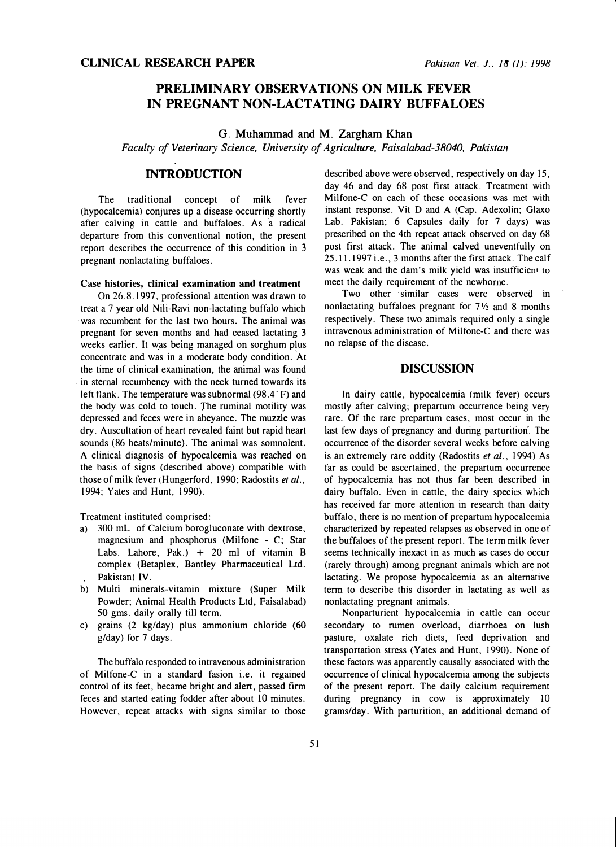# PRELIMINARY OBSERVATIONS ON MILK FEVER IN PREGNANT NON-LACTATING DAIRY BUFFALOES

G. Muhammad and M. Zargham Khan

Faculty of Veterinary Science, University of Agriculture, Faisalabad-38040, Pakistan

## INTRODUCTION

The traditional concept of milk fever (hypocalcemia) conjures up a disease occurring shortly after calving in cattle and buffaloes. As a radical departure from this conventional notion, the present report describes the occurrence of this condition in 3 pregnant nonlactating buffaloes.

#### Case histories, clinical examination and treatment

On 26.8.1997, professional attention was drawn to treat a 7 year old Nili-Ravi non-lactating buffalo which was recumbent for the last two hours. The animal was pregnant for seven months and had ceased lactating 3 weeks earlier. It was being managed on sorghum plus concentrate and was in a moderate body condition. At the time of clinical examination, the animal was found in sternal recumbency with the neck turned towards its left flank. The temperature was subnormal (98.4 °F) and the body was cold to touch. The rumina! motility was depressed and feces were in abeyance. The muzzle was dry. Auscultation of heart revealed faint but rapid heart sounds (86 beats/minute). The animal was somnolent. A clinical diagnosis of hypocalcemia was reached on the basis of signs (described above) compatible with those of milk fever (Hungerford, 1990; Radostits et al., 1994; Yates and Hunt, 1990).

Treatment instituted comprised:

- a) 300 mL of Calcium borogluconate with dextrose, magnesium and phosphorus (Milfone - C; Star Labs. Lahore, Pak.)  $+20$  ml of vitamin B complex (Betaplex, Bantley Pharmaceutical Ltd. Pakistan) IV.
- b) Multi minerals-vitamin mixture (Super Milk Powder; Animal Health Products Ltd, Faisalabad) 50 gms. daily orally till term.
- c) grains (2 kg/day) plus ammonium chloride (60 g/day) for 7 days.

The buffalo responded to intravenous administration of Milfone-C in a standard fasion i.e. it regained control of its feet, became bright and alert, passed firm feces and started eating fodder after about 10 minutes. However, repeat attacks with signs similar to those described above were observed, respectively on day 15, day 46 and day 68 post first attack. Treatment with Milfone-C on each of these occasions was met with instant response. Vit D and A (Cap. Adexolin; Glaxo Lab. Pakistan; 6 Capsules daily for 7 days) was prescribed on the 4th repeat attack observed on day 68 post first attack. The animal calved uneventfully on 25. 11. 1997 i.e., 3 months after the first attack. The calf was weak and the dam's milk yield was insufficient to meet. the daily requirement of the newborne.

Two other similar cases were observed in nonlactating buffaloes pregnant for  $7\frac{1}{2}$  and 8 months respectively. These two animals required only a single intravenous administration of Milfone-C and there was no relapse of the disease.

### DISCUSSION

In dairy cattle, hypocalcemia (milk fever) occurs mostly after calving; prepartum occurrence being very rare. Of the rare prepartum cases, most occur in the last few days of pregnancy and during parturition. The occurrence of the disorder several weeks before calving is an extremely rare oddity (Radostits et al., 1994) As far as could be ascertained, the prepartum occurrence of hypocalcemia has not thus far been described in dairy buffalo. Even in cattle, the dairy species which has received far more attention in research than dairy buffalo, there is no mention of prepartum hypocalcemia characterized by repeated relapses as observed in one of the buffaloes of the present report. The term milk fever seems technically inexact in as much as cases do occur (rarely through) among pregnant animals which are not lactating. We propose hypocalcemia as an alternative term to describe this disorder in lactating as well as nonlactating pregnant animals.

Nonparturient hypocalcemia in cattle can occur secondary to rumen overload, diarrhoea on lush pasture, oxalate rich diets, feed deprivation and transportation stress (Yates and Hunt, 1990). None of these factors was apparently causally associated with the occurrence of clinical hypocalcemia among the subjects of the present report. The daily calcium requirement during pregnancy in cow is approximately 10 grams/day. With parturition, an additional demand of